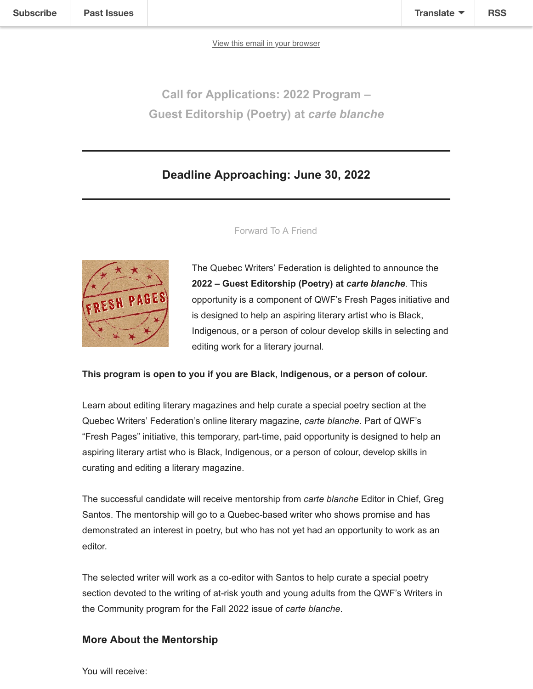[View this email in your browser](https://mailchi.mp/qwf/carteblanche2022-1391527?e=159d8d3bff)

**Call for Applications: 2022 Program – Guest Editorship (Poetry) at** *carte blanche*

# **Deadline Approaching: June 30, 2022**



[Forward To A Friend](http://us4.forward-to-friend.com/forward?u=d0a51a48d6c3ad04f2d738cb8&id=da646aecb1&e=159d8d3bff)

The Quebec Writers' Federation is delighted to announce the **2022 – Guest Editorship (Poetry) at** *carte blanche*. This opportunity is a component of QWF's Fresh Pages initiative and is designed to help an aspiring literary artist who is Black, Indigenous, or a person of colour develop skills in selecting and editing work for a literary journal.

## **This program is open to you if you are Black, Indigenous, or a person of colour.**

Learn about editing literary magazines and help curate a special poetry section at the Quebec Writers' Federation's online literary magazine, *carte blanche*. Part of QWF's "Fresh Pages" initiative, this temporary, part-time, paid opportunity is designed to help an aspiring literary artist who is Black, Indigenous, or a person of colour, develop skills in curating and editing a literary magazine.

The successful candidate will receive mentorship from *carte blanche* Editor in Chief, Greg Santos. The mentorship will go to a Quebec-based writer who shows promise and has demonstrated an interest in poetry, but who has not yet had an opportunity to work as an editor.

The selected writer will work as a co-editor with Santos to help curate a special poetry section devoted to the writing of at-risk youth and young adults from the QWF's Writers in the Community program for the Fall 2022 issue of *carte blanche*.

## **More About the Mentorship**

You will receive: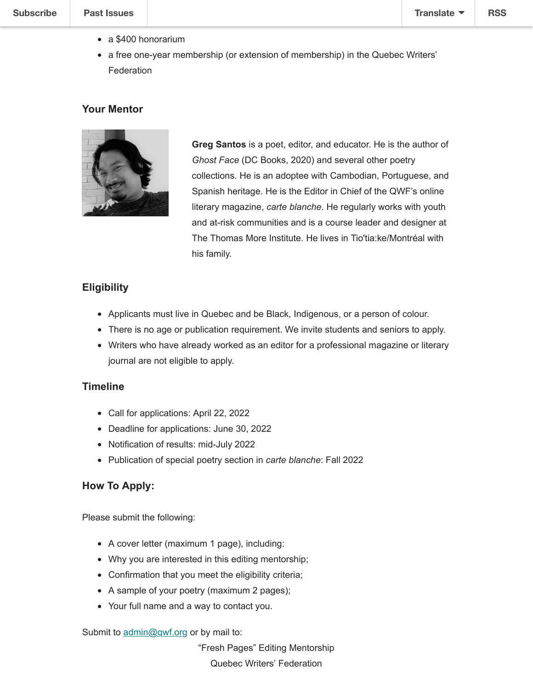2022

- a \$400 honorarium
- a free one-year membership (or extension of membership) in the Quebec Writers' Federation

#### **Your Mentor**



**Greg Santos** is a poet, editor, and educator. He is the author of *Ghost Face* (DC Books, 2020) and several other poetry collections. He is an adoptee with Cambodian, Portuguese, and Spanish heritage. He is the Editor in Chief of the QWF's online literary magazine, *carte blanche*. He regularly works with youth and at-risk communities and is a course leader and designer at The Thomas More Institute. He lives in Tio'tia:ke/Montréal with his family.

#### **Eligibility**

- Applicants must live in Quebec and be Black, Indigenous, or a person of colour.
- There is no age or publication requirement. We invite students and seniors to apply.
- Writers who have already worked as an editor for a professional magazine or literary journal are not eligible to apply.

#### **Timeline**

- Call for applications: April 22, 2022
- Deadline for applications: June 30, 2022
- Notification of results: mid-July 2022
- Publication of special poetry section in *carte blanche*: Fall 2022

#### **How To Apply:**

Please submit the following:

- A cover letter (maximum 1 page), including:
- Why you are interested in this editing mentorship;
- Confirmation that you meet the eligibility criteria;
- A sample of your poetry (maximum 2 pages);
- Your full name and a way to contact you.

Submit to [admin@qwf.org](mailto:admin@qwf.org) or by mail to:

"Fresh Pages" Editing Mentorship Quebec Writers' Federation